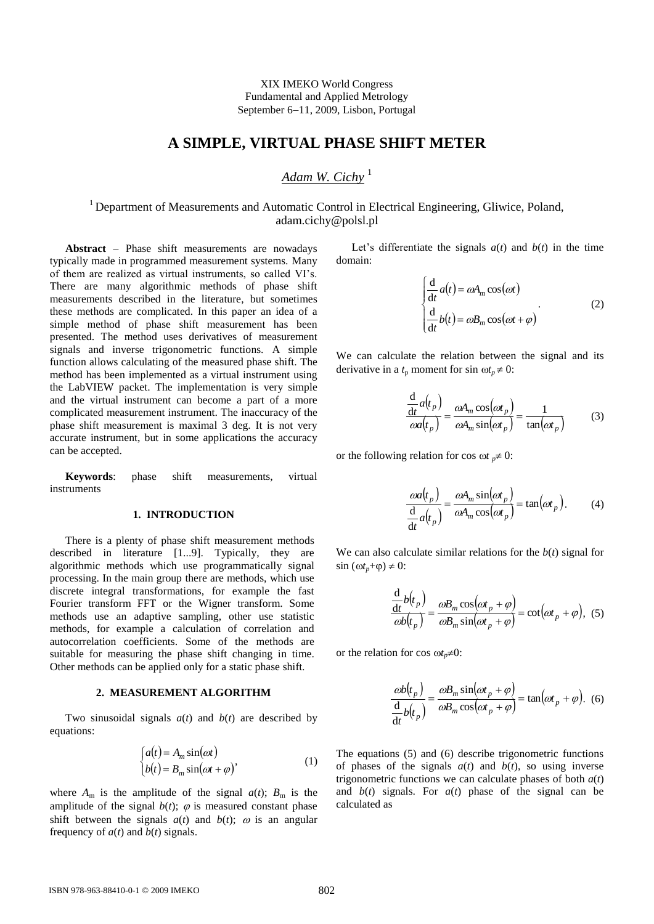XIX IMEKO World Congress Fundamental and Applied Metrology September 6-11, 2009, Lisbon, Portugal

## **A SIMPLE, VIRTUAL PHASE SHIFT METER**

# *Adam W. Cichy* <sup>1</sup>

## <sup>1</sup> Department of Measurements and Automatic Control in Electrical Engineering, Gliwice, Poland, adam.cichy@polsl.pl

Abstract - Phase shift measurements are nowadays typically made in programmed measurement systems. Many of them are realized as virtual instruments, so called VI's. There are many algorithmic methods of phase shift measurements described in the literature, but sometimes these methods are complicated. In this paper an idea of a simple method of phase shift measurement has been presented. The method uses derivatives of measurement signals and inverse trigonometric functions. A simple function allows calculating of the measured phase shift. The method has been implemented as a virtual instrument using the LabVIEW packet. The implementation is very simple and the virtual instrument can become a part of a more complicated measurement instrument. The inaccuracy of the phase shift measurement is maximal 3 deg. It is not very accurate instrument, but in some applications the accuracy can be accepted.

**Keywords**: phase shift measurements, virtual instruments

### **1. INTRODUCTION**

There is a plenty of phase shift measurement methods described in literature [1...9]. Typically, they are algorithmic methods which use programmatically signal processing. In the main group there are methods, which use discrete integral transformations, for example the fast Fourier transform FFT or the Wigner transform. Some methods use an adaptive sampling, other use statistic methods, for example a calculation of correlation and autocorrelation coefficients. Some of the methods are suitable for measuring the phase shift changing in time. Other methods can be applied only for a static phase shift.

#### **2. MEASUREMENT ALGORITHM**

Two sinusoidal signals  $a(t)$  and  $b(t)$  are described by equations:

$$
\begin{cases}\na(t) = A_m \sin(\omega t) \\
b(t) = B_m \sin(\omega t + \varphi)\n\end{cases} \tag{1}
$$

where  $A_m$  is the amplitude of the signal  $a(t)$ ;  $B_m$  is the amplitude of the signal  $b(t)$ ;  $\varphi$  is measured constant phase shift between the signals  $a(t)$  and  $b(t)$ ;  $\omega$  is an angular frequency of  $a(t)$  and  $b(t)$  signals.

Let's differentiate the signals  $a(t)$  and  $b(t)$  in the time domain:

$$
\begin{cases}\n\frac{d}{dt}a(t) = \omega A_m \cos(\omega t) \\
\frac{d}{dt}b(t) = \omega B_m \cos(\omega t + \varphi)\n\end{cases}
$$
\n(2)

We can calculate the relation between the signal and its derivative in a  $t_p$  moment for sin  $\omega t_p \neq 0$ :

$$
\frac{\frac{d}{dt}a(t_p)}{\omega a(t_p)} = \frac{\omega A_m \cos(\omega t_p)}{\omega A_m \sin(\omega t_p)} = \frac{1}{\tan(\omega t_p)}
$$
(3)

or the following relation for cos  $\omega t$  *p*  $\neq$  0:

$$
\frac{\omega a(t_p)}{\frac{d}{dt}a(t_p)} = \frac{\omega A_m \sin(\omega t_p)}{\omega A_m \cos(\omega t_p)} = \tan(\omega t_p).
$$
 (4)

We can also calculate similar relations for the  $b(t)$  signal for  $\sin (\omega t_p + \varphi) \neq 0$ :

$$
\frac{\frac{d}{dt}b(t_p)}{\omega b(t_p)} = \frac{\omega B_m \cos(\omega t_p + \varphi)}{\omega B_m \sin(\omega t_p + \varphi)} = \cot(\omega t_p + \varphi),
$$
 (5)

or the relation for cos  $\omega t_p \neq 0$ :

$$
\frac{\omega b(t_p)}{\frac{d}{dt}b(t_p)} = \frac{\omega B_m \sin(\omega t_p + \varphi)}{\omega B_m \cos(\omega t_p + \varphi)} = \tan(\omega t_p + \varphi).
$$
 (6)

The equations (5) and (6) describe trigonometric functions of phases of the signals  $a(t)$  and  $b(t)$ , so using inverse trigonometric functions we can calculate phases of both  $a(t)$ and  $b(t)$  signals. For  $a(t)$  phase of the signal can be calculated as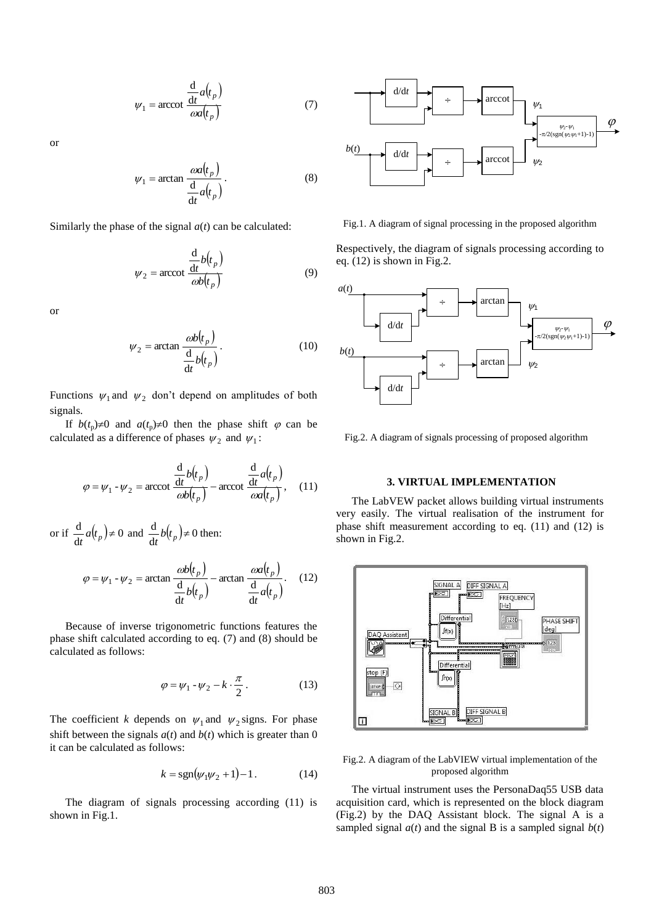$$
\psi_1 = \operatorname{arccot} \frac{\frac{d}{dt} a(t_p)}{\omega a(t_p)}\tag{7}
$$

or

$$
\psi_1 = \arctan \frac{\omega a(t_p)}{\frac{d}{dt} a(t_p)}.
$$
\n(8)

Similarly the phase of the signal  $a(t)$  can be calculated:

$$
\psi_2 = \operatorname{arccot} \frac{\frac{d}{dt} b(t_p)}{\omega b(t_p)} \tag{9}
$$

or

$$
\psi_2 = \arctan \frac{\omega b(t_p)}{\frac{d}{dt} b(t_p)}.
$$
\n(10)

Functions  $\psi_1$  and  $\psi_2$  don't depend on amplitudes of both signals.

If  $b(t_p) \neq 0$  and  $a(t_p) \neq 0$  then the phase shift  $\varphi$  can be calculated as a difference of phases  $\psi_2$  and  $\psi_1$ :

$$
\varphi = \psi_1 - \psi_2 = \text{arccot}\,\frac{\frac{d}{dt}b(t_p)}{\omega b(t_p)} - \text{arccot}\,\frac{\frac{d}{dt}a(t_p)}{\omega a(t_p)},\quad(11)
$$

or if  $\frac{d}{dt}a(t_p) \neq 0$  $\frac{d}{dt}a(t_p) \neq 0$  and  $\frac{d}{dt}b(t_p) \neq 0$  $\frac{d}{dt}b(t_p)\neq 0$  then:

$$
\varphi = \psi_1 - \psi_2 = \arctan \frac{\omega b(t_p)}{\frac{d}{dt} b(t_p)} - \arctan \frac{\omega a(t_p)}{\frac{d}{dt} a(t_p)}.
$$
 (12)

Because of inverse trigonometric functions features the phase shift calculated according to eq. (7) and (8) should be calculated as follows:

$$
\varphi = \psi_1 - \psi_2 - k \cdot \frac{\pi}{2} \,. \tag{13}
$$

The coefficient *k* depends on  $\psi_1$  and  $\psi_2$  signs. For phase shift between the signals  $a(t)$  and  $b(t)$  which is greater than 0 it can be calculated as follows:

$$
k = sgn(\psi_1 \psi_2 + 1) - 1. \tag{14}
$$

The diagram of signals processing according (11) is shown in Fig.1.



Fig.1. A diagram of signal processing in the proposed algorithm

Respectively, the diagram of signals processing according to eq. (12) is shown in Fig.2.



Fig.2. A diagram of signals processing of proposed algorithm

### **3. VIRTUAL IMPLEMENTATION**

The LabVEW packet allows building virtual instruments very easily. The virtual realisation of the instrument for phase shift measurement according to eq. (11) and (12) is shown in Fig.2.



Fig.2. A diagram of the LabVIEW virtual implementation of the proposed algorithm

The virtual instrument uses the PersonaDaq55 USB data acquisition card, which is represented on the block diagram (Fig.2) by the DAQ Assistant block. The signal A is a sampled signal  $a(t)$  and the signal B is a sampled signal  $b(t)$